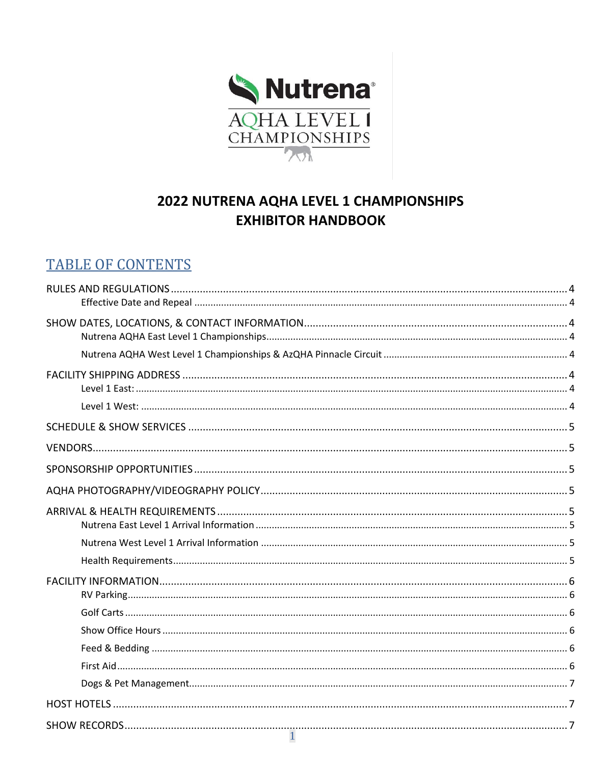

# 2022 NUTRENA AQHA LEVEL 1 CHAMPIONSHIPS **EXHIBITOR HANDBOOK**

## **TABLE OF CONTENTS**

| $\mathbf{1}$ |  |
|--------------|--|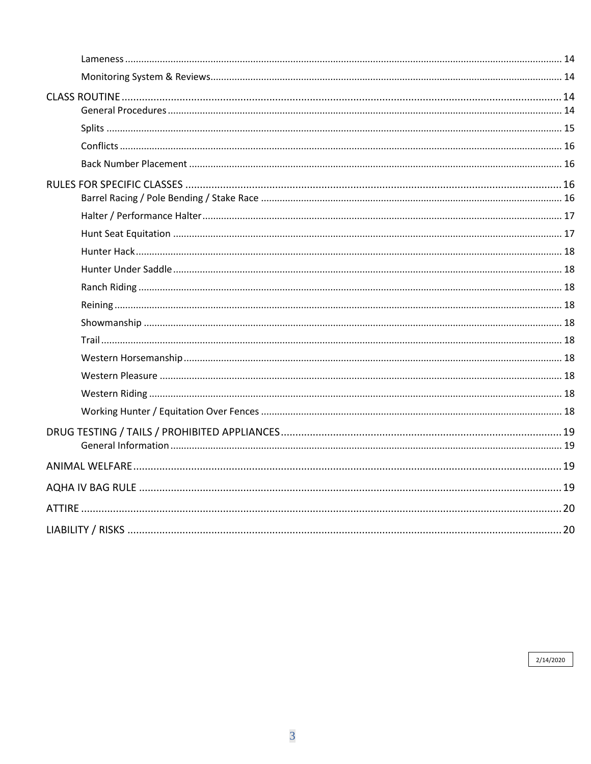2/14/2020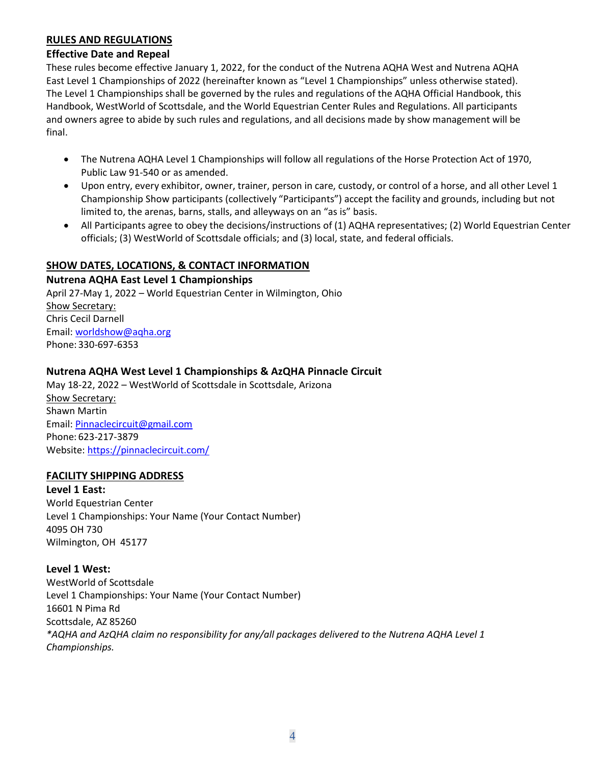#### <span id="page-3-0"></span>**RULES AND REGULATIONS**

#### <span id="page-3-1"></span>**Effective Date and Repeal**

These rules become effective January 1, 2022, for the conduct of the Nutrena AQHA West and Nutrena AQHA East Level 1 Championships of 2022 (hereinafter known as "Level 1 Championships" unless otherwise stated). The Level 1 Championships shall be governed by the rules and regulations of the AQHA Official Handbook, this Handbook, WestWorld of Scottsdale, and the World Equestrian Center Rules and Regulations. All participants and owners agree to abide by such rules and regulations, and all decisions made by show management will be final.

- The Nutrena AQHA Level 1 Championships will follow all regulations of the Horse Protection Act of 1970, Public Law 91-540 or as amended.
- Upon entry, every exhibitor, owner, trainer, person in care, custody, or control of a horse, and all other Level 1 Championship Show participants (collectively "Participants") accept the facility and grounds, including but not limited to, the arenas, barns, stalls, and alleyways on an "as is" basis.
- All Participants agree to obey the decisions/instructions of (1) AQHA representatives; (2) World Equestrian Center officials; (3) WestWorld of Scottsdale officials; and (3) local, state, and federal officials.

#### <span id="page-3-2"></span>**SHOW DATES, LOCATIONS, & CONTACT INFORMATION**

#### <span id="page-3-3"></span>**Nutrena AQHA East Level 1 Championships**

April 27-May 1, 2022 – World Equestrian Center in Wilmington, Ohio Show Secretary: Chris Cecil Darnell Email: worldshow@aqha.org Phone: 330-697-6353

#### <span id="page-3-4"></span>**Nutrena AQHA West Level 1 Championships & AzQHA Pinnacle Circuit**

May 18-22, 2022 – WestWorld of Scottsdale in Scottsdale, Arizona Show Secretary: Shawn Martin Email: [Pinnaclecircuit@gmail.com](mailto:Pinnaclecircuit@gmail.com) Phone: 623-217-3879 Website[: https://pinnaclecircuit.com/](https://pinnaclecircuit.com/)

#### <span id="page-3-5"></span>**FACILITY SHIPPING ADDRESS**

<span id="page-3-6"></span>**Level 1 East:**  World Equestrian Center Level 1 Championships: Your Name (Your Contact Number) 4095 OH 730 Wilmington, OH 45177

#### <span id="page-3-7"></span>**Level 1 West:**

WestWorld of Scottsdale Level 1 Championships: Your Name (Your Contact Number) 16601 N Pima Rd Scottsdale, AZ 85260 *\*AQHA and AzQHA claim no responsibility for any/all packages delivered to the Nutrena AQHA Level 1 Championships.*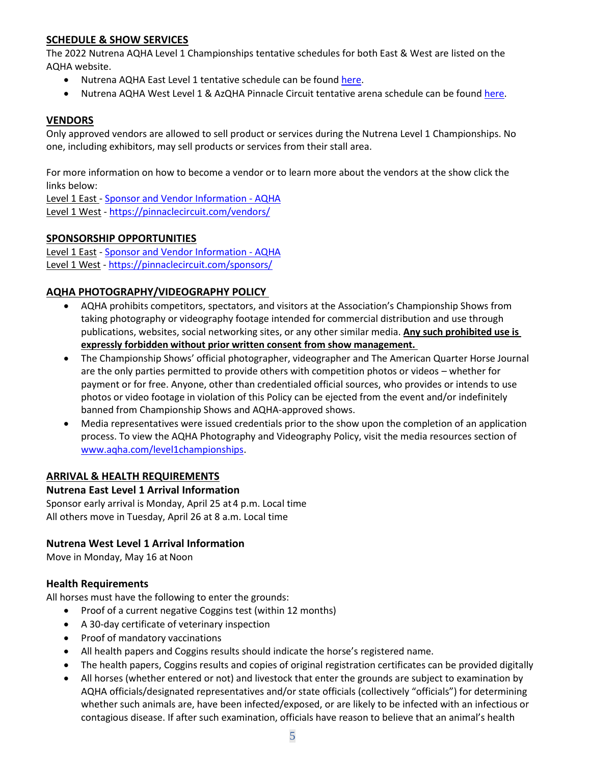#### <span id="page-4-0"></span>**SCHEDULE & SHOW SERVICES**

The 2022 Nutrena AQHA Level 1 Championships tentative schedules for both East & West are listed on the AQHA website.

- Nutrena AQHA East Level 1 tentative schedule can be found [here.](https://www.aqha.com/east-level-1-resources)
- Nutrena AQHA West Level 1 & AzQHA Pinnacle Circuit tentative arena schedule can be found [here.](https://www.aqha.com/east-level-1-resources)

#### <span id="page-4-1"></span>**VENDORS**

Only approved vendors are allowed to sell product or services during the Nutrena Level 1 Championships. No one, including exhibitors, may sell products or services from their stall area.

For more information on how to become a vendor or to learn more about the vendors at the show click the links below:

Level 1 East - [Sponsor and Vendor Information -](https://www.aqha.com/nutrena-aqha-level-1-sponsors-and-vendors) AQHA Level 1 West - <https://pinnaclecircuit.com/vendors/>

#### <span id="page-4-2"></span>**SPONSORSHIP OPPORTUNITIES**

Level 1 East - [Sponsor and Vendor Information -](https://www.aqha.com/nutrena-aqha-level-1-sponsors-and-vendors) AQHA Level 1 West - <https://pinnaclecircuit.com/sponsors/>

#### <span id="page-4-3"></span>**AQHA PHOTOGRAPHY/VIDEOGRAPHY POLICY**

- AQHA prohibits competitors, spectators, and visitors at the Association's Championship Shows from taking photography or videography footage intended for commercial distribution and use through publications, websites, social networking sites, or any other similar media. **Any such prohibited use is expressly forbidden without prior written consent from show management.**
- The Championship Shows' official photographer, videographer and The American Quarter Horse Journal are the only parties permitted to provide others with competition photos or videos – whether for payment or for free. Anyone, other than credentialed official sources, who provides or intends to use photos or video footage in violation of this Policy can be ejected from the event and/or indefinitely banned from Championship Shows and AQHA-approved shows.
- Media representatives were issued credentials prior to the show upon the completion of an application process. To view the AQHA Photography and Videography Policy, visit the media resources section of [www.aqha.com/level1championships.](http://www.aqha.com/level1championships)

#### <span id="page-4-4"></span>**ARRIVAL & HEALTH REQUIREMENTS**

#### <span id="page-4-5"></span>**Nutrena East Level 1 Arrival Information**

Sponsor early arrival is Monday, April 25 at4 p.m. Local time All others move in Tuesday, April 26 at 8 a.m. Local time

#### <span id="page-4-6"></span>**Nutrena West Level 1 Arrival Information**

Move in Monday, May 16 at Noon

#### <span id="page-4-7"></span>**Health Requirements**

All horses must have the following to enter the grounds:

- Proof of a current negative Coggins test (within 12 months)
- A 30-day certificate of veterinary inspection
- Proof of mandatory vaccinations
- All health papers and Coggins results should indicate the horse's registered name.
- The health papers, Coggins results and copies of original registration certificates can be provided digitally
- All horses (whether entered or not) and livestock that enter the grounds are subject to examination by AQHA officials/designated representatives and/or state officials (collectively "officials") for determining whether such animals are, have been infected/exposed, or are likely to be infected with an infectious or contagious disease. If after such examination, officials have reason to believe that an animal's health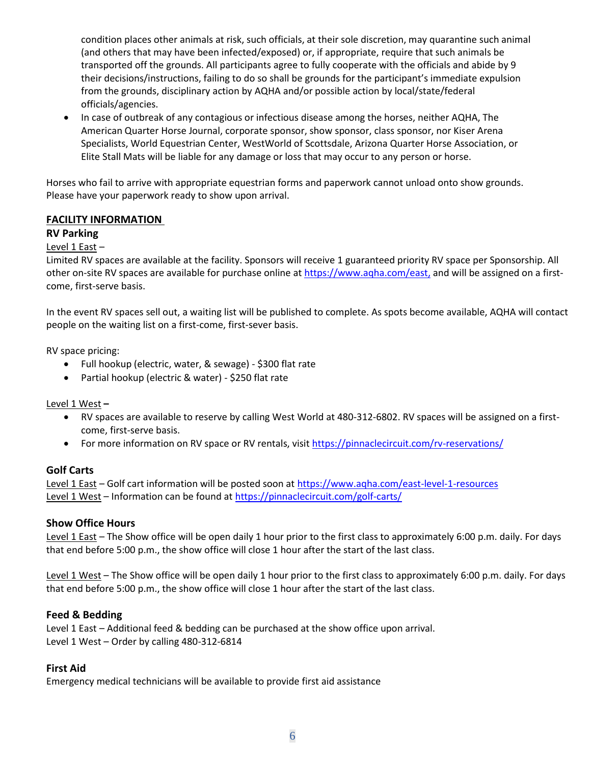condition places other animals at risk, such officials, at their sole discretion, may quarantine such animal (and others that may have been infected/exposed) or, if appropriate, require that such animals be transported off the grounds. All participants agree to fully cooperate with the officials and abide by 9 their decisions/instructions, failing to do so shall be grounds for the participant's immediate expulsion from the grounds, disciplinary action by AQHA and/or possible action by local/state/federal officials/agencies.

• In case of outbreak of any contagious or infectious disease among the horses, neither AQHA, The American Quarter Horse Journal, corporate sponsor, show sponsor, class sponsor, nor Kiser Arena Specialists, World Equestrian Center, WestWorld of Scottsdale, Arizona Quarter Horse Association, or Elite Stall Mats will be liable for any damage or loss that may occur to any person or horse.

Horses who fail to arrive with appropriate equestrian forms and paperwork cannot unload onto show grounds. Please have your paperwork ready to show upon arrival.

#### <span id="page-5-0"></span>**FACILITY INFORMATION**

#### <span id="page-5-1"></span>**RV Parking**

#### Level 1 East –

Limited RV spaces are available at the facility. Sponsors will receive 1 guaranteed priority RV space per Sponsorship. All other on-site RV spaces are available for purchase online at<https://www.aqha.com/east,> and will be assigned on a firstcome, first-serve basis.

In the event RV spaces sell out, a waiting list will be published to complete. As spots become available, AQHA will contact people on the waiting list on a first-come, first-sever basis.

RV space pricing:

- Full hookup (electric, water, & sewage) \$300 flat rate
- Partial hookup (electric & water) \$250 flat rate

#### Level 1 West **–**

- RV spaces are available to reserve by calling West World at 480-312-6802. RV spaces will be assigned on a firstcome, first-serve basis.
- For more information on RV space or RV rentals, visit<https://pinnaclecircuit.com/rv-reservations/>

#### <span id="page-5-2"></span>**Golf Carts**

Level 1 East – Golf cart information will be posted soon at<https://www.aqha.com/east-level-1-resources> Level 1 West – Information can be found a[t https://pinnaclecircuit.com/golf-carts/](https://pinnaclecircuit.com/golf-carts/)

#### <span id="page-5-3"></span>**Show Office Hours**

Level 1 East – The Show office will be open daily 1 hour prior to the first class to approximately 6:00 p.m. daily. For days that end before 5:00 p.m., the show office will close 1 hour after the start of the last class.

Level 1 West – The Show office will be open daily 1 hour prior to the first class to approximately 6:00 p.m. daily. For days that end before 5:00 p.m., the show office will close 1 hour after the start of the last class.

#### <span id="page-5-4"></span>**Feed & Bedding**

Level 1 East – Additional feed & bedding can be purchased at the show office upon arrival. Level 1 West – Order by calling 480-312-6814

#### <span id="page-5-5"></span>**First Aid**

Emergency medical technicians will be available to provide first aid assistance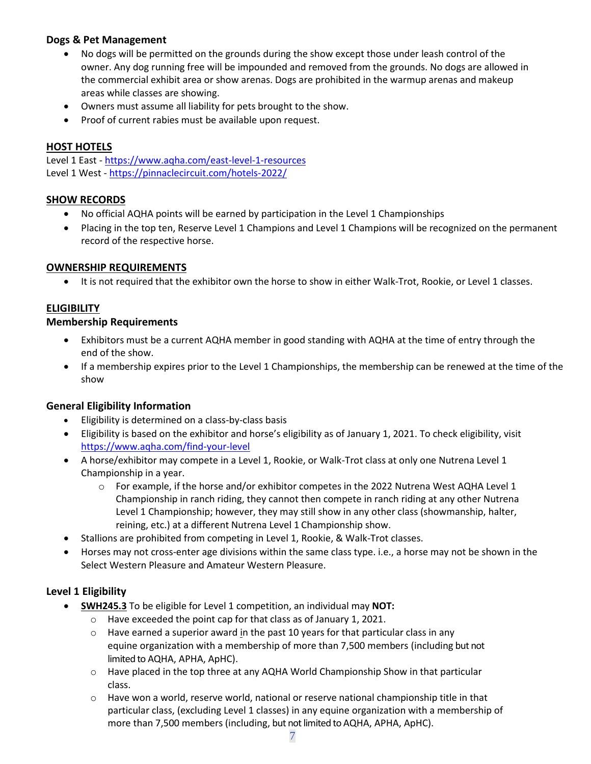#### <span id="page-6-0"></span>**Dogs & Pet Management**

- No dogs will be permitted on the grounds during the show except those under leash control of the owner. Any dog running free will be impounded and removed from the grounds. No dogs are allowed in the commercial exhibit area or show arenas. Dogs are prohibited in the warmup arenas and makeup areas while classes are showing.
- Owners must assume all liability for pets brought to the show.
- Proof of current rabies must be available upon request.

#### <span id="page-6-1"></span>**HOST HOTELS**

Level 1 East - <https://www.aqha.com/east-level-1-resources> Level 1 West - <https://pinnaclecircuit.com/hotels-2022/>

#### <span id="page-6-2"></span>**SHOW RECORDS**

- No official AQHA points will be earned by participation in the Level 1 Championships
- Placing in the top ten, Reserve Level 1 Champions and Level 1 Champions will be recognized on the permanent record of the respective horse.

#### <span id="page-6-3"></span>**OWNERSHIP REQUIREMENTS**

• It is not required that the exhibitor own the horse to show in either Walk-Trot, Rookie, or Level 1 classes.

#### <span id="page-6-4"></span>**ELIGIBILITY**

#### <span id="page-6-5"></span>**Membership Requirements**

- Exhibitors must be a current AQHA member in good standing with AQHA at the time of entry through the end of the show.
- If a membership expires prior to the Level 1 Championships, the membership can be renewed at the time of the show

#### <span id="page-6-6"></span>**General Eligibility Information**

- Eligibility is determined on a class-by-class basis
- Eligibility is based on the exhibitor and horse's eligibility as of January 1, 2021. To check eligibility, visit <https://www.aqha.com/find-your-level>
- A horse/exhibitor may compete in a Level 1, Rookie, or Walk-Trot class at only one Nutrena Level 1 Championship in a year.
	- $\circ$  For example, if the horse and/or exhibitor competes in the 2022 Nutrena West AQHA Level 1 Championship in ranch riding, they cannot then compete in ranch riding at any other Nutrena Level 1 Championship; however, they may still show in any other class (showmanship, halter, reining, etc.) at a different Nutrena Level 1 Championship show.
- Stallions are prohibited from competing in Level 1, Rookie, & Walk-Trot classes.
- Horses may not cross-enter age divisions within the same class type. i.e., a horse may not be shown in the Select Western Pleasure and Amateur Western Pleasure.

#### <span id="page-6-7"></span>**Level 1 Eligibility**

- **SWH245.3** To be eligible for Level 1 competition, an individual may **NOT:**
	- o Have exceeded the point cap for that class as of January 1, 2021.
	- $\circ$  Have earned a superior award in the past 10 years for that particular class in any equine organization with a membership of more than 7,500 members (including but not limited to AQHA, APHA, ApHC).
	- $\circ$  Have placed in the top three at any AQHA World Championship Show in that particular class.
	- $\circ$  Have won a world, reserve world, national or reserve national championship title in that particular class, (excluding Level 1 classes) in any equine organization with a membership of more than 7,500 members (including, but not limited to AQHA, APHA, ApHC).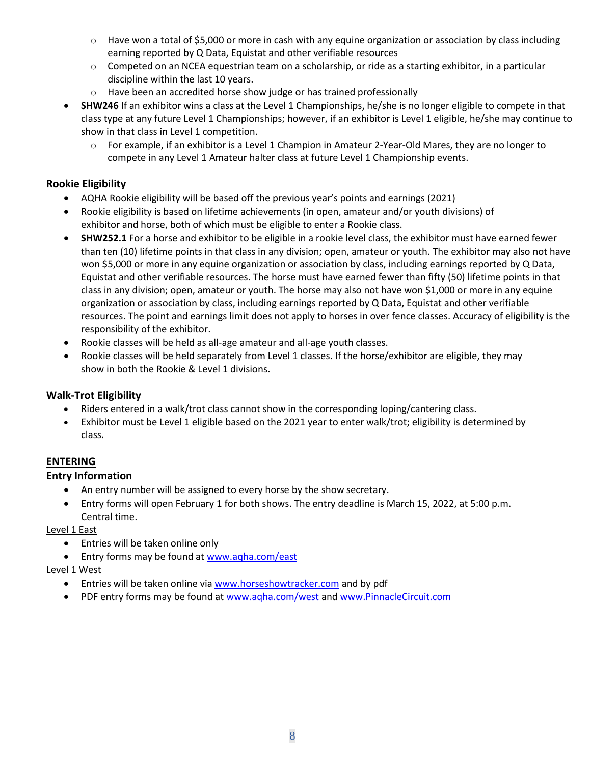- $\circ$  Have won a total of \$5,000 or more in cash with any equine organization or association by class including earning reported by Q Data, Equistat and other verifiable resources
- o Competed on an NCEA equestrian team on a scholarship, or ride as a starting exhibitor, in a particular discipline within the last 10 years.
- o Have been an accredited horse show judge or has trained professionally
- **SHW246** If an exhibitor wins a class at the Level 1 Championships, he/she is no longer eligible to compete in that class type at any future Level 1 Championships; however, if an exhibitor is Level 1 eligible, he/she may continue to show in that class in Level 1 competition.
	- $\circ$  For example, if an exhibitor is a Level 1 Champion in Amateur 2-Year-Old Mares, they are no longer to compete in any Level 1 Amateur halter class at future Level 1 Championship events.

#### <span id="page-7-0"></span>**Rookie Eligibility**

- AQHA Rookie eligibility will be based off the previous year's points and earnings (2021)
- Rookie eligibility is based on lifetime achievements (in open, amateur and/or youth divisions) of exhibitor and horse, both of which must be eligible to enter a Rookie class.
- **SHW252.1** For a horse and exhibitor to be eligible in a rookie level class, the exhibitor must have earned fewer than ten (10) lifetime points in that class in any division; open, amateur or youth. The exhibitor may also not have won \$5,000 or more in any equine organization or association by class, including earnings reported by Q Data, Equistat and other verifiable resources. The horse must have earned fewer than fifty (50) lifetime points in that class in any division; open, amateur or youth. The horse may also not have won \$1,000 or more in any equine organization or association by class, including earnings reported by Q Data, Equistat and other verifiable resources. The point and earnings limit does not apply to horses in over fence classes. Accuracy of eligibility is the responsibility of the exhibitor.
- Rookie classes will be held as all-age amateur and all-age youth classes.
- Rookie classes will be held separately from Level 1 classes. If the horse/exhibitor are eligible, they may show in both the Rookie & Level 1 divisions.

#### <span id="page-7-1"></span>**Walk-Trot Eligibility**

- Riders entered in a walk/trot class cannot show in the corresponding loping/cantering class.
- Exhibitor must be Level 1 eligible based on the 2021 year to enter walk/trot; eligibility is determined by class.

#### <span id="page-7-2"></span>**ENTERING**

#### <span id="page-7-3"></span>**Entry Information**

- An entry number will be assigned to every horse by the show secretary.
- Entry forms will open February 1 for both shows. The entry deadline is March 15, 2022, at 5:00 p.m. Central time.

Level 1 East

- Entries will be taken online only
- Entry forms may be found at [www.aqha.com/east](http://www.aqha.com/east)

#### Level 1 West

- Entries will be taken online vi[a www.horseshowtracker.com](http://www.horseshowtracker.com/) and by pdf
- PDF entry forms may be found a[t www.aqha.com/west](http://www.aqha.com/west) an[d www.PinnacleCircuit.com](http://www.pinnaclecircuit.com/)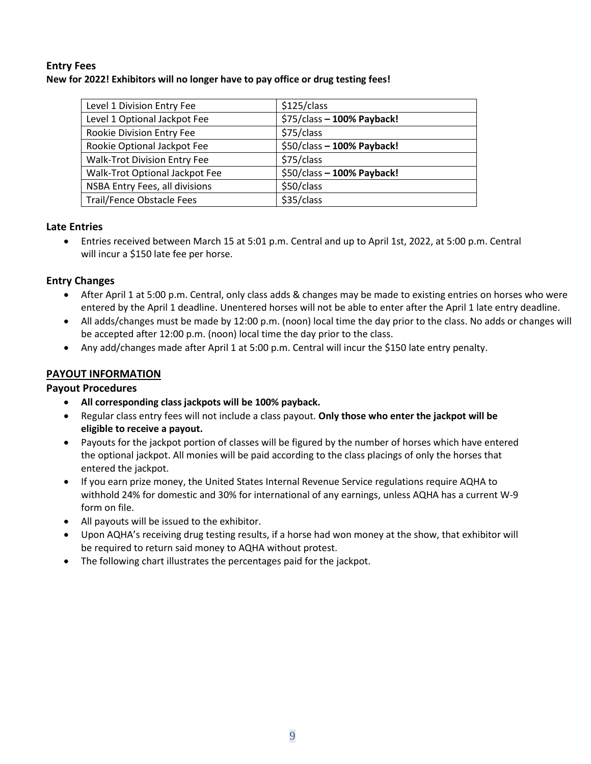#### <span id="page-8-0"></span>**Entry Fees**

#### **New for 2022! Exhibitors will no longer have to pay office or drug testing fees!**

| \$125/class                |
|----------------------------|
| \$75/class - 100% Payback! |
| \$75/class                 |
| \$50/class - 100% Payback! |
| \$75/class                 |
| \$50/class - 100% Payback! |
| \$50/class                 |
| \$35/class                 |
|                            |

#### <span id="page-8-1"></span>**Late Entries**

• Entries received between March 15 at 5:01 p.m. Central and up to April 1st, 2022, at 5:00 p.m. Central will incur a \$150 late fee per horse.

#### <span id="page-8-2"></span>**Entry Changes**

- After April 1 at 5:00 p.m. Central, only class adds & changes may be made to existing entries on horses who were entered by the April 1 deadline. Unentered horses will not be able to enter after the April 1 late entry deadline.
- All adds/changes must be made by 12:00 p.m. (noon) local time the day prior to the class. No adds or changes will be accepted after 12:00 p.m. (noon) local time the day prior to the class.
- Any add/changes made after April 1 at 5:00 p.m. Central will incur the \$150 late entry penalty.

#### <span id="page-8-3"></span>**PAYOUT INFORMATION**

#### <span id="page-8-4"></span>**Payout Procedures**

- **All corresponding class jackpots will be 100% payback.**
- Regular class entry fees will not include a class payout. **Only those who enter the jackpot will be eligible to receive a payout.**
- Payouts for the jackpot portion of classes will be figured by the number of horses which have entered the optional jackpot. All monies will be paid according to the class placings of only the horses that entered the jackpot.
- If you earn prize money, the United States Internal Revenue Service regulations require AQHA to withhold 24% for domestic and 30% for international of any earnings, unless AQHA has a current W-9 form on file.
- All payouts will be issued to the exhibitor.
- Upon AQHA's receiving drug testing results, if a horse had won money at the show, that exhibitor will be required to return said money to AQHA without protest.
- The following chart illustrates the percentages paid for the jackpot.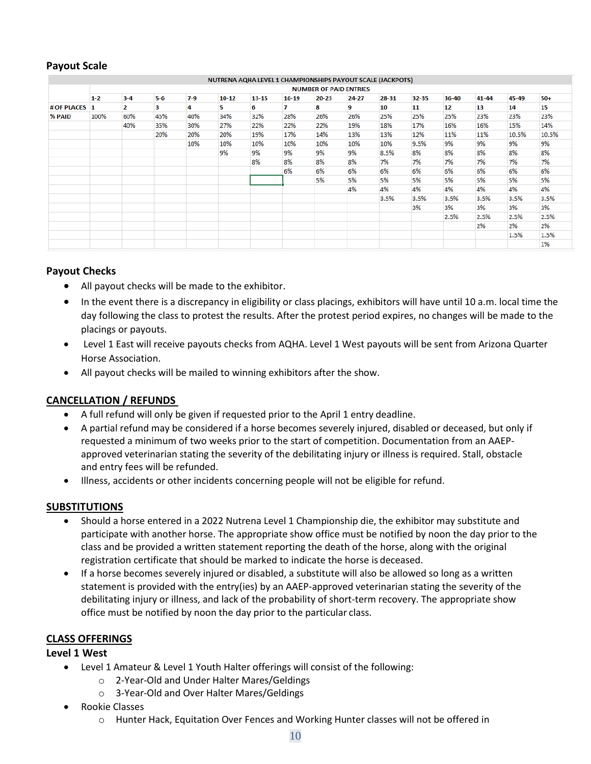#### <span id="page-9-0"></span>**Payout Scale**

#### NUTRENA AQHA LEVEL 1 CHAMPIONSHIPS PAYOUT SCALE (JACKPOTS) **NUMBER OF PAID ENTRIES**  $5 - 6$  $7-9$ 41-44 45-49  $1 - 2$  $3 - 4$  $10-12$ 13-15  $16 - 19$  $20 - 23$  $24-27$ 28-31 32-35 36-40 50+ # OF PLACES  $\mathbf{1}$  $\overline{2}$ 4 5  $\boldsymbol{6}$  $\overline{1}$  $\bf{8}$  $\mathbf{q}$  $10$  $11$  $12$ 13 14 15 3 **% PAID** 100% 60% 45% 40% 34% 32% 28% 26% 26% 25% 25% 25% 23% 23% 23% 40% 35% 30% 27% 22% 22% 22% 19% 18% 17% 16% 16% 15% 14% 20% 20% 19% 17% 14% 13% 13% 12% 11% 11% 10.5% 20% 10.5% 10% 10% 10% 10% 10% 10% 10% 9.5% 9% 9% 9% 9% 9% 9% 9% 9% 9% 8.5% 8% 8% 8% 8% 8% 8% 8% 8% 8% 7% 7% 7% 7% 7% 7% 6% 6% 6% 6% 6% 6% 6% 6% 6% 5% 5% 5% 5% 5% 5% 5% 5% 4% 4% 4% 4% 4% 4% 4% 3.5% 3.5% 3.5% 3.5% 3.5% 3.5% 3% 3% 3% 3% 3% 2.5% 2.5% 2.5% 2.5% 2% 2% 2% 1.5% 1.5% 1%

#### <span id="page-9-1"></span>**Payout Checks**

- All payout checks will be made to the exhibitor.
- In the event there is a discrepancy in eligibility or class placings, exhibitors will have until 10 a.m. local time the day following the class to protest the results. After the protest period expires, no changes will be made to the placings or payouts.
- Level 1 East will receive payouts checks from AQHA. Level 1 West payouts will be sent from Arizona Quarter Horse Association.
- All payout checks will be mailed to winning exhibitors after the show.

#### <span id="page-9-2"></span>**CANCELLATION / REFUNDS**

- A full refund will only be given if requested prior to the April 1 entry deadline.
- A partial refund may be considered if a horse becomes severely injured, disabled or deceased, but only if requested a minimum of two weeks prior to the start of competition. Documentation from an AAEPapproved veterinarian stating the severity of the debilitating injury or illness is required. Stall, obstacle and entry fees will be refunded.
- Illness, accidents or other incidents concerning people will not be eligible for refund.

#### <span id="page-9-3"></span>**SUBSTITUTIONS**

- Should a horse entered in a 2022 Nutrena Level 1 Championship die, the exhibitor may substitute and participate with another horse. The appropriate show office must be notified by noon the day prior to the class and be provided a written statement reporting the death of the horse, along with the original registration certificate that should be marked to indicate the horse is deceased.
- If a horse becomes severely injured or disabled, a substitute will also be allowed so long as a written statement is provided with the entry(ies) by an AAEP-approved veterinarian stating the severity of the debilitating injury or illness, and lack of the probability of short-term recovery. The appropriate show office must be notified by noon the day prior to the particular class.

#### <span id="page-9-4"></span>**CLASS OFFERINGS**

#### <span id="page-9-5"></span>**Level 1 West**

- Level 1 Amateur & Level 1 Youth Halter offerings will consist of the following:
	- o 2-Year-Old and Under Halter Mares/Geldings
	- o 3-Year-Old and Over Halter Mares/Geldings
- Rookie Classes
	- o Hunter Hack, Equitation Over Fences and Working Hunter classes will not be offered in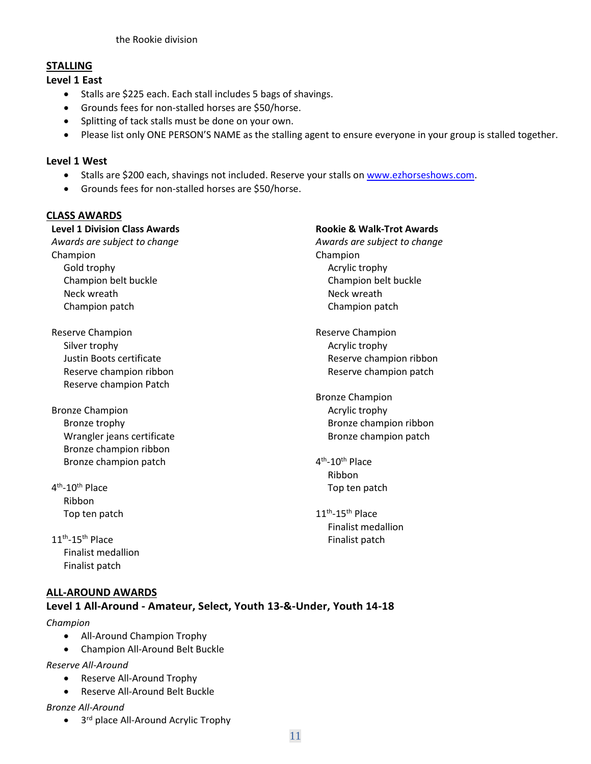#### <span id="page-10-0"></span>**STALLING**

#### <span id="page-10-1"></span>**Level 1 East**

- Stalls are \$225 each. Each stall includes 5 bags of shavings.
- Grounds fees for non-stalled horses are \$50/horse.
- Splitting of tack stalls must be done on your own.
- Please list only ONE PERSON'S NAME as the stalling agent to ensure everyone in your group is stalled together.

#### <span id="page-10-2"></span>**Level 1 West**

- Stalls are \$200 each, shavings not included. Reserve your stalls on [www.ezhorseshows.com.](http://www.ezhorseshows.com/)
- Grounds fees for non-stalled horses are \$50/horse.

#### <span id="page-10-3"></span>**CLASS AWARDS**

#### **Level 1 Division Class Awards Rookie & Walk-Trot Awards**

*Awards are subject to change Awards are subject to change* Champion **Champion** Champion Gold trophy and the state of the state of the Acrylic trophy Neck wreath Neck wreath Neck wreath Neck wreath Champion patch **Champion patch** Champion patch

- Reserve Champion **Reserve Champion Reserve Champion** Silver trophy and the state of the state of the Acrylic trophy Reserve champion Patch
- Bronze Champion **Acrylic trophy Acrylic trophy** Wrangler jeans certificate **Bronze champion patch** Bronze champion patch Bronze champion ribbon Bronze champion patch 4
- $4^{\text{th}}$  Ribbon Top ten patch
- $11<sup>th</sup> 15<sup>th</sup>$  Place Finalist medallion Finalist patch

#### <span id="page-10-4"></span>**ALL-AROUND AWARDS**

#### <span id="page-10-5"></span>**Level 1 All-Around - Amateur, Select, Youth 13-&-Under, Youth 14-18**

#### *Champion*

- All-Around Champion Trophy
- Champion All-Around Belt Buckle

#### *Reserve All-Around*

- Reserve All-Around Trophy
- Reserve All-Around Belt Buckle

#### *Bronze All-Around*

• 3<sup>rd</sup> place All-Around Acrylic Trophy

# Champion belt buckle Champion belt buckle Justin Boots certificate **Reserve champion ribbon** Reserve champion ribbon **Reserve champion patch** Reserve champion patch

Bronze Champion Bronze trophy Bronze champion ribbon

- <sup>th</sup>-10<sup>th</sup> Place Ribbon Top ten patch
- $11<sup>th</sup> 15<sup>th</sup>$  Place Finalist medallion Finalist patch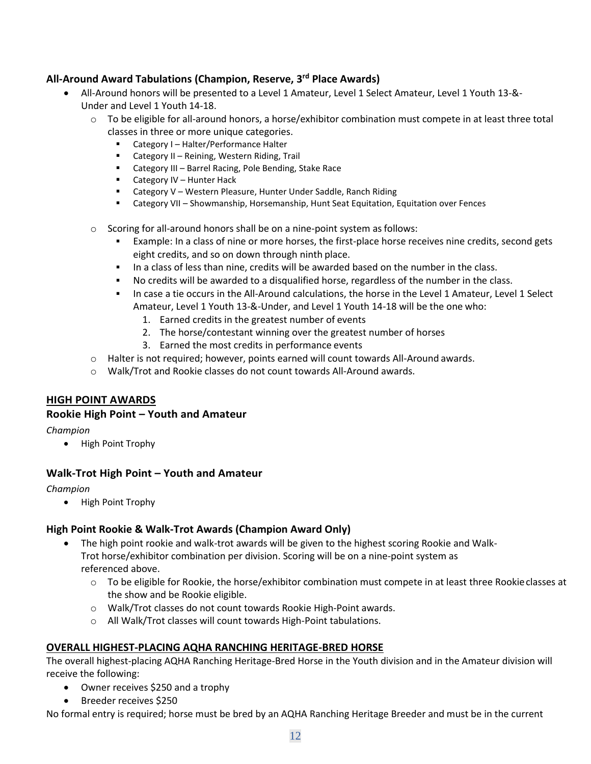#### <span id="page-11-0"></span>**All-Around Award Tabulations (Champion, Reserve, 3rd Place Awards)**

- All-Around honors will be presented to a Level 1 Amateur, Level 1 Select Amateur, Level 1 Youth 13-&- Under and Level 1 Youth 14-18.
	- $\circ$  To be eligible for all-around honors, a horse/exhibitor combination must compete in at least three total classes in three or more unique categories.
		- Category I Halter/Performance Halter
		- Category II Reining, Western Riding, Trail
		- Category III Barrel Racing, Pole Bending, Stake Race
		- Category IV Hunter Hack
		- Category V Western Pleasure, Hunter Under Saddle, Ranch Riding
		- Category VII Showmanship, Horsemanship, Hunt Seat Equitation, Equitation over Fences
	- o Scoring for all-around honors shall be on a nine-point system asfollows:
		- Example: In a class of nine or more horses, the first-place horse receives nine credits, second gets eight credits, and so on down through ninth place.
		- In a class of less than nine, credits will be awarded based on the number in the class.
		- No credits will be awarded to a disqualified horse, regardless of the number in the class.
		- In case a tie occurs in the All-Around calculations, the horse in the Level 1 Amateur, Level 1 Select Amateur, Level 1 Youth 13-&-Under, and Level 1 Youth 14-18 will be the one who:
			- 1. Earned credits in the greatest number of events
			- 2. The horse/contestant winning over the greatest number of horses
			- 3. Earned the most credits in performance events
	- o Halter is not required; however, points earned will count towards All-Around awards.
	- o Walk/Trot and Rookie classes do not count towards All-Around awards.

#### <span id="page-11-1"></span>**HIGH POINT AWARDS**

#### <span id="page-11-2"></span>**Rookie High Point – Youth and Amateur**

#### *Champion*

• High Point Trophy

#### <span id="page-11-3"></span>**Walk-Trot High Point – Youth and Amateur**

#### *Champion*

• High Point Trophy

#### <span id="page-11-4"></span>**High Point Rookie & Walk-Trot Awards (Champion Award Only)**

- The high point rookie and walk-trot awards will be given to the highest scoring Rookie and Walk-Trot horse/exhibitor combination per division. Scoring will be on a nine-point system as referenced above.
	- $\circ$  To be eligible for Rookie, the horse/exhibitor combination must compete in at least three Rookieclasses at the show and be Rookie eligible.
	- o Walk/Trot classes do not count towards Rookie High-Point awards.
	- o All Walk/Trot classes will count towards High-Point tabulations.

#### <span id="page-11-5"></span>**OVERALL HIGHEST-PLACING AQHA RANCHING HERITAGE-BRED HORSE**

The overall highest-placing AQHA Ranching Heritage-Bred Horse in the Youth division and in the Amateur division will receive the following:

- Owner receives \$250 and a trophy
- Breeder receives \$250

No formal entry is required; horse must be bred by an AQHA Ranching Heritage Breeder and must be in the current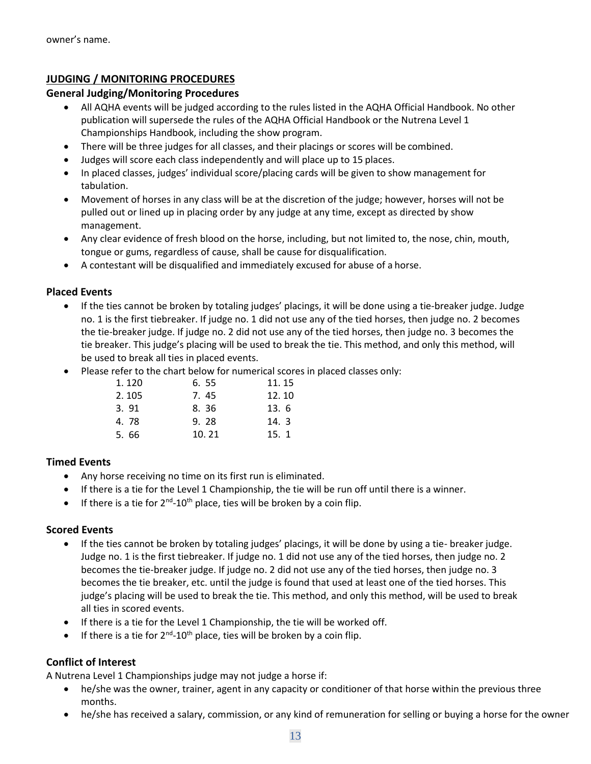#### <span id="page-12-0"></span>**JUDGING / MONITORING PROCEDURES**

#### <span id="page-12-1"></span>**General Judging/Monitoring Procedures**

- All AQHA events will be judged according to the rules listed in the AQHA Official Handbook. No other publication will supersede the rules of the AQHA Official Handbook or the Nutrena Level 1 Championships Handbook, including the show program.
- There will be three judges for all classes, and their placings or scores will be combined.
- Judges will score each class independently and will place up to 15 places.
- In placed classes, judges' individual score/placing cards will be given to show management for tabulation.
- Movement of horses in any class will be at the discretion of the judge; however, horses will not be pulled out or lined up in placing order by any judge at any time, except as directed by show management.
- Any clear evidence of fresh blood on the horse, including, but not limited to, the nose, chin, mouth, tongue or gums, regardless of cause, shall be cause for disqualification.
- A contestant will be disqualified and immediately excused for abuse of a horse.

#### <span id="page-12-2"></span>**Placed Events**

- If the ties cannot be broken by totaling judges' placings, it will be done using a tie-breaker judge. Judge no. 1 is the first tiebreaker. If judge no. 1 did not use any of the tied horses, then judge no. 2 becomes the tie-breaker judge. If judge no. 2 did not use any of the tied horses, then judge no. 3 becomes the tie breaker. This judge's placing will be used to break the tie. This method, and only this method, will be used to break all ties in placed events.
- Please refer to the chart below for numerical scores in placed classes only:

| 1.120 | 6.55  | 11.15 |
|-------|-------|-------|
| 2.105 | 7.45  | 12.10 |
| 3.91  | 8.36  | 13.6  |
| 4.78  | 9.28  | 14.3  |
| 5.66  | 10.21 | 15.1  |

#### <span id="page-12-3"></span>**Timed Events**

- Any horse receiving no time on its first run is eliminated.
- If there is a tie for the Level 1 Championship, the tie will be run off until there is a winner.
- If there is a tie for  $2^{nd}$ -10<sup>th</sup> place, ties will be broken by a coin flip.

#### <span id="page-12-4"></span>**Scored Events**

- If the ties cannot be broken by totaling judges' placings, it will be done by using a tie- breaker judge. Judge no. 1 is the first tiebreaker. If judge no. 1 did not use any of the tied horses, then judge no. 2 becomes the tie-breaker judge. If judge no. 2 did not use any of the tied horses, then judge no. 3 becomes the tie breaker, etc. until the judge is found that used at least one of the tied horses. This judge's placing will be used to break the tie. This method, and only this method, will be used to break all ties in scored events.
- If there is a tie for the Level 1 Championship, the tie will be worked off.
- If there is a tie for  $2^{nd}$ -10<sup>th</sup> place, ties will be broken by a coin flip.

#### <span id="page-12-5"></span>**Conflict of Interest**

A Nutrena Level 1 Championships judge may not judge a horse if:

- he/she was the owner, trainer, agent in any capacity or conditioner of that horse within the previous three months.
- he/she has received a salary, commission, or any kind of remuneration for selling or buying a horse for the owner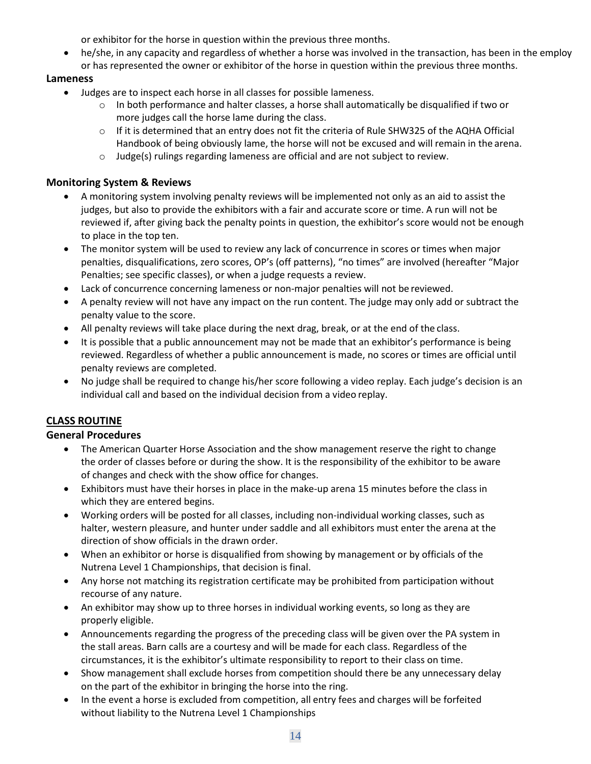or exhibitor for the horse in question within the previous three months.

• he/she, in any capacity and regardless of whether a horse was involved in the transaction, has been in the employ or has represented the owner or exhibitor of the horse in question within the previous three months.

#### <span id="page-13-0"></span>**Lameness**

- Judges are to inspect each horse in all classes for possible lameness.
	- $\circ$  In both performance and halter classes, a horse shall automatically be disqualified if two or more judges call the horse lame during the class.
	- o If it is determined that an entry does not fit the criteria of Rule SHW325 of the AQHA Official Handbook of being obviously lame, the horse will not be excused and will remain in the arena.
	- o Judge(s) rulings regarding lameness are official and are not subject to review.

#### <span id="page-13-1"></span>**Monitoring System & Reviews**

- A monitoring system involving penalty reviews will be implemented not only as an aid to assist the judges, but also to provide the exhibitors with a fair and accurate score or time. A run will not be reviewed if, after giving back the penalty points in question, the exhibitor's score would not be enough to place in the top ten.
- The monitor system will be used to review any lack of concurrence in scores or times when major penalties, disqualifications, zero scores, OP's (off patterns), "no times" are involved (hereafter "Major Penalties; see specific classes), or when a judge requests a review.
- Lack of concurrence concerning lameness or non-major penalties will not be reviewed.
- A penalty review will not have any impact on the run content. The judge may only add or subtract the penalty value to the score.
- All penalty reviews will take place during the next drag, break, or at the end of the class.
- It is possible that a public announcement may not be made that an exhibitor's performance is being reviewed. Regardless of whether a public announcement is made, no scores or times are official until penalty reviews are completed.
- No judge shall be required to change his/her score following a video replay. Each judge's decision is an individual call and based on the individual decision from a video replay.

### <span id="page-13-2"></span>**CLASS ROUTINE**

#### <span id="page-13-3"></span>**General Procedures**

- The American Quarter Horse Association and the show management reserve the right to change the order of classes before or during the show. It is the responsibility of the exhibitor to be aware of changes and check with the show office for changes.
- Exhibitors must have their horses in place in the make-up arena 15 minutes before the class in which they are entered begins.
- Working orders will be posted for all classes, including non-individual working classes, such as halter, western pleasure, and hunter under saddle and all exhibitors must enter the arena at the direction of show officials in the drawn order.
- When an exhibitor or horse is disqualified from showing by management or by officials of the Nutrena Level 1 Championships, that decision is final.
- Any horse not matching its registration certificate may be prohibited from participation without recourse of any nature.
- An exhibitor may show up to three horses in individual working events, so long as they are properly eligible.
- Announcements regarding the progress of the preceding class will be given over the PA system in the stall areas. Barn calls are a courtesy and will be made for each class. Regardless of the circumstances, it is the exhibitor's ultimate responsibility to report to their class on time.
- Show management shall exclude horses from competition should there be any unnecessary delay on the part of the exhibitor in bringing the horse into the ring.
- In the event a horse is excluded from competition, all entry fees and charges will be forfeited without liability to the Nutrena Level 1 Championships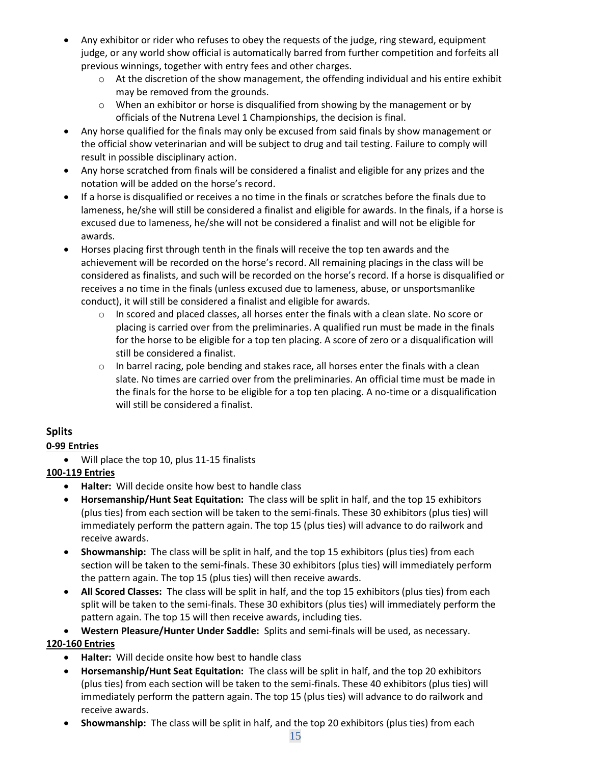- Any exhibitor or rider who refuses to obey the requests of the judge, ring steward, equipment judge, or any world show official is automatically barred from further competition and forfeits all previous winnings, together with entry fees and other charges.
	- $\circ$  At the discretion of the show management, the offending individual and his entire exhibit may be removed from the grounds.
	- $\circ$  When an exhibitor or horse is disqualified from showing by the management or by officials of the Nutrena Level 1 Championships, the decision is final.
- Any horse qualified for the finals may only be excused from said finals by show management or the official show veterinarian and will be subject to drug and tail testing. Failure to comply will result in possible disciplinary action.
- Any horse scratched from finals will be considered a finalist and eligible for any prizes and the notation will be added on the horse's record.
- If a horse is disqualified or receives a no time in the finals or scratches before the finals due to lameness, he/she will still be considered a finalist and eligible for awards. In the finals, if a horse is excused due to lameness, he/she will not be considered a finalist and will not be eligible for awards.
- Horses placing first through tenth in the finals will receive the top ten awards and the achievement will be recorded on the horse's record. All remaining placings in the class will be considered as finalists, and such will be recorded on the horse's record. If a horse is disqualified or receives a no time in the finals (unless excused due to lameness, abuse, or unsportsmanlike conduct), it will still be considered a finalist and eligible for awards.
	- $\circ$  In scored and placed classes, all horses enter the finals with a clean slate. No score or placing is carried over from the preliminaries. A qualified run must be made in the finals for the horse to be eligible for a top ten placing. A score of zero or a disqualification will still be considered a finalist.
	- $\circ$  In barrel racing, pole bending and stakes race, all horses enter the finals with a clean slate. No times are carried over from the preliminaries. An official time must be made in the finals for the horse to be eligible for a top ten placing. A no-time or a disqualification will still be considered a finalist.

#### <span id="page-14-0"></span>**Splits**

#### **0-99 Entries**

- Will place the top 10, plus 11-15 finalists
- **100-119 Entries**
	- **Halter:** Will decide onsite how best to handle class
	- **Horsemanship/Hunt Seat Equitation:** The class will be split in half, and the top 15 exhibitors (plus ties) from each section will be taken to the semi-finals. These 30 exhibitors (plus ties) will immediately perform the pattern again. The top 15 (plus ties) will advance to do railwork and receive awards.
	- **Showmanship:** The class will be split in half, and the top 15 exhibitors (plus ties) from each section will be taken to the semi-finals. These 30 exhibitors (plus ties) will immediately perform the pattern again. The top 15 (plus ties) will then receive awards.
	- **All Scored Classes:** The class will be split in half, and the top 15 exhibitors (plus ties) from each split will be taken to the semi-finals. These 30 exhibitors (plus ties) will immediately perform the pattern again. The top 15 will then receive awards, including ties.
	- **Western Pleasure/Hunter Under Saddle:** Splits and semi-finals will be used, as necessary.

#### **120-160 Entries**

- **Halter:** Will decide onsite how best to handle class
- **Horsemanship/Hunt Seat Equitation:** The class will be split in half, and the top 20 exhibitors (plus ties) from each section will be taken to the semi-finals. These 40 exhibitors (plus ties) will immediately perform the pattern again. The top 15 (plus ties) will advance to do railwork and receive awards.
- **Showmanship:** The class will be split in half, and the top 20 exhibitors (plus ties) from each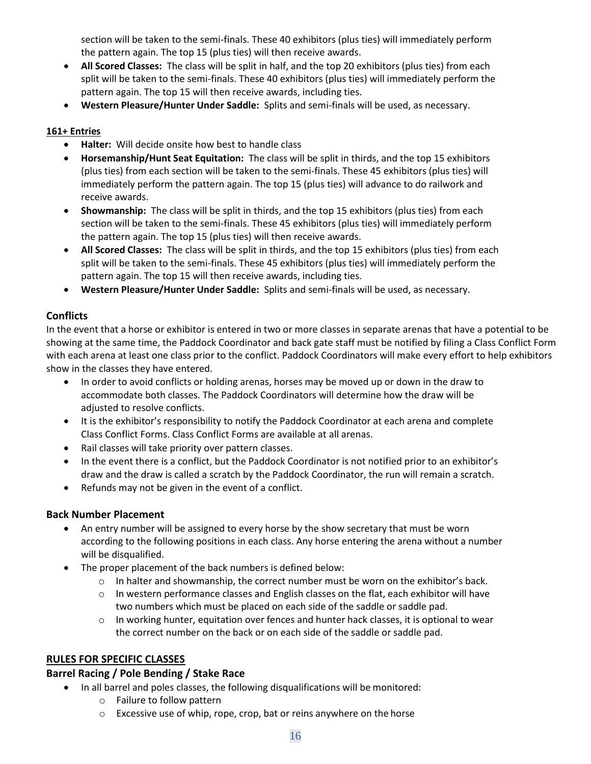section will be taken to the semi-finals. These 40 exhibitors (plus ties) will immediately perform the pattern again. The top 15 (plus ties) will then receive awards.

- **All Scored Classes:** The class will be split in half, and the top 20 exhibitors (plus ties) from each split will be taken to the semi-finals. These 40 exhibitors (plus ties) will immediately perform the pattern again. The top 15 will then receive awards, including ties.
- **Western Pleasure/Hunter Under Saddle:** Splits and semi-finals will be used, as necessary.

#### **161+ Entries**

- **Halter:** Will decide onsite how best to handle class
- **Horsemanship/Hunt Seat Equitation:** The class will be split in thirds, and the top 15 exhibitors (plus ties) from each section will be taken to the semi-finals. These 45 exhibitors (plus ties) will immediately perform the pattern again. The top 15 (plus ties) will advance to do railwork and receive awards.
- **Showmanship:** The class will be split in thirds, and the top 15 exhibitors (plus ties) from each section will be taken to the semi-finals. These 45 exhibitors (plus ties) will immediately perform the pattern again. The top 15 (plus ties) will then receive awards.
- **All Scored Classes:** The class will be split in thirds, and the top 15 exhibitors (plus ties) from each split will be taken to the semi-finals. These 45 exhibitors (plus ties) will immediately perform the pattern again. The top 15 will then receive awards, including ties.
- **Western Pleasure/Hunter Under Saddle:** Splits and semi-finals will be used, as necessary.

#### <span id="page-15-0"></span>**Conflicts**

In the event that a horse or exhibitor is entered in two or more classes in separate arenas that have a potential to be showing at the same time, the Paddock Coordinator and back gate staff must be notified by filing a Class Conflict Form with each arena at least one class prior to the conflict. Paddock Coordinators will make every effort to help exhibitors show in the classes they have entered.

- In order to avoid conflicts or holding arenas, horses may be moved up or down in the draw to accommodate both classes. The Paddock Coordinators will determine how the draw will be adjusted to resolve conflicts.
- It is the exhibitor's responsibility to notify the Paddock Coordinator at each arena and complete Class Conflict Forms. Class Conflict Forms are available at all arenas.
- Rail classes will take priority over pattern classes.
- In the event there is a conflict, but the Paddock Coordinator is not notified prior to an exhibitor's draw and the draw is called a scratch by the Paddock Coordinator, the run will remain a scratch.
- Refunds may not be given in the event of a conflict.

#### <span id="page-15-1"></span>**Back Number Placement**

- An entry number will be assigned to every horse by the show secretary that must be worn according to the following positions in each class. Any horse entering the arena without a number will be disqualified.
- The proper placement of the back numbers is defined below:
	- $\circ$  In halter and showmanship, the correct number must be worn on the exhibitor's back.
	- $\circ$  In western performance classes and English classes on the flat, each exhibitor will have two numbers which must be placed on each side of the saddle or saddle pad.
	- $\circ$  In working hunter, equitation over fences and hunter hack classes, it is optional to wear the correct number on the back or on each side of the saddle or saddle pad.

#### <span id="page-15-2"></span>**RULES FOR SPECIFIC CLASSES**

#### <span id="page-15-3"></span>**Barrel Racing / Pole Bending / Stake Race**

- In all barrel and poles classes, the following disqualifications will be monitored:
	- o Failure to follow pattern
	- o Excessive use of whip, rope, crop, bat or reins anywhere on the horse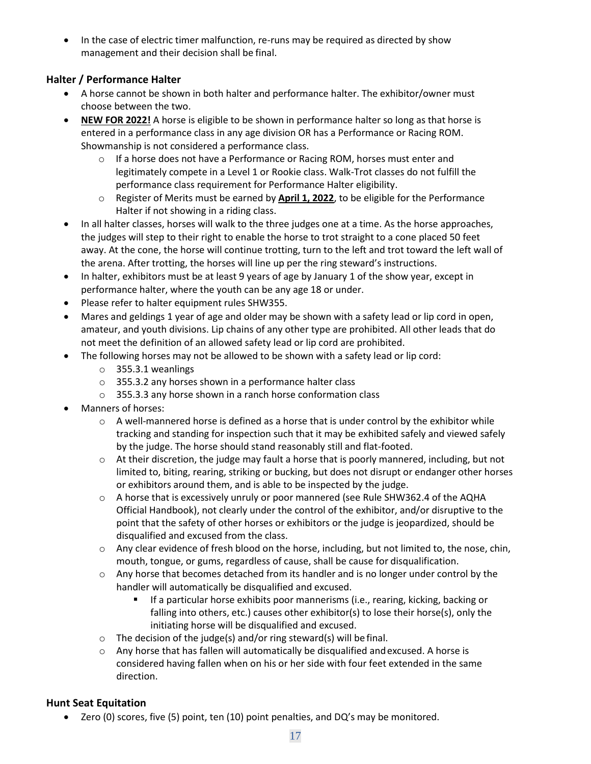• In the case of electric timer malfunction, re-runs may be required as directed by show management and their decision shall be final.

#### <span id="page-16-0"></span>**Halter / Performance Halter**

- A horse cannot be shown in both halter and performance halter. The exhibitor/owner must choose between the two.
- **NEW FOR 2022!** A horse is eligible to be shown in performance halter so long as that horse is entered in a performance class in any age division OR has a Performance or Racing ROM. Showmanship is not considered a performance class.
	- o If a horse does not have a Performance or Racing ROM, horses must enter and legitimately compete in a Level 1 or Rookie class. Walk-Trot classes do not fulfill the performance class requirement for Performance Halter eligibility.
	- o Register of Merits must be earned by **April 1, 2022**, to be eligible for the Performance Halter if not showing in a riding class.
- In all halter classes, horses will walk to the three judges one at a time. As the horse approaches, the judges will step to their right to enable the horse to trot straight to a cone placed 50 feet away. At the cone, the horse will continue trotting, turn to the left and trot toward the left wall of the arena. After trotting, the horses will line up per the ring steward's instructions.
- In halter, exhibitors must be at least 9 years of age by January 1 of the show year, except in performance halter, where the youth can be any age 18 or under.
- Please refer to halter equipment rules SHW355.
- Mares and geldings 1 year of age and older may be shown with a safety lead or lip cord in open, amateur, and youth divisions. Lip chains of any other type are prohibited. All other leads that do not meet the definition of an allowed safety lead or lip cord are prohibited.
- The following horses may not be allowed to be shown with a safety lead or lip cord:
	- o 355.3.1 weanlings
	- o 355.3.2 any horses shown in a performance halter class
	- o 355.3.3 any horse shown in a ranch horse conformation class
- Manners of horses:
	- $\circ$  A well-mannered horse is defined as a horse that is under control by the exhibitor while tracking and standing for inspection such that it may be exhibited safely and viewed safely by the judge. The horse should stand reasonably still and flat-footed.
	- $\circ$  At their discretion, the judge may fault a horse that is poorly mannered, including, but not limited to, biting, rearing, striking or bucking, but does not disrupt or endanger other horses or exhibitors around them, and is able to be inspected by the judge.
	- o A horse that is excessively unruly or poor mannered (see Rule SHW362.4 of the AQHA Official Handbook), not clearly under the control of the exhibitor, and/or disruptive to the point that the safety of other horses or exhibitors or the judge is jeopardized, should be disqualified and excused from the class.
	- o Any clear evidence of fresh blood on the horse, including, but not limited to, the nose, chin, mouth, tongue, or gums, regardless of cause, shall be cause for disqualification.
	- $\circ$  Any horse that becomes detached from its handler and is no longer under control by the handler will automatically be disqualified and excused.
		- If a particular horse exhibits poor mannerisms (i.e., rearing, kicking, backing or falling into others, etc.) causes other exhibitor(s) to lose their horse(s), only the initiating horse will be disqualified and excused.
	- $\circ$  The decision of the judge(s) and/or ring steward(s) will be final.
	- $\circ$  Any horse that has fallen will automatically be disqualified and excused. A horse is considered having fallen when on his or her side with four feet extended in the same direction.

#### <span id="page-16-1"></span>**Hunt Seat Equitation**

• Zero (0) scores, five (5) point, ten (10) point penalties, and DQ's may be monitored.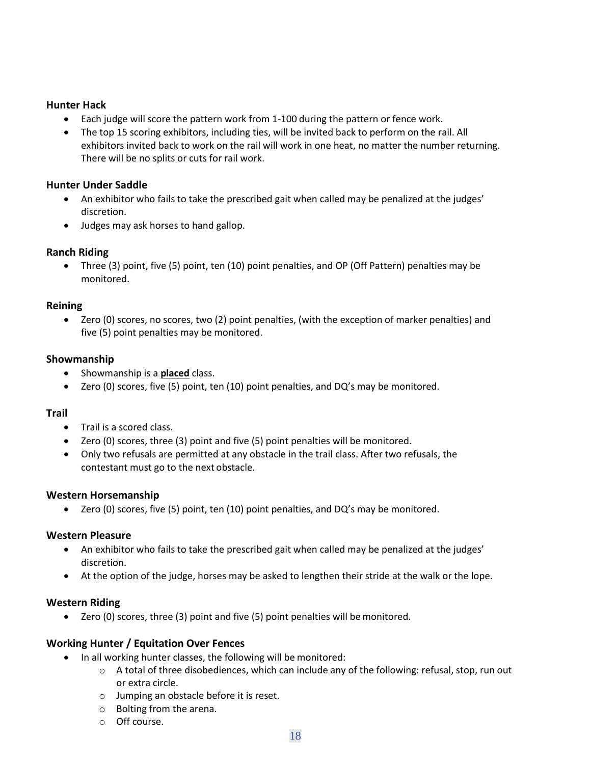#### <span id="page-17-0"></span>**Hunter Hack**

- Each judge will score the pattern work from 1-100 during the pattern or fence work.
- The top 15 scoring exhibitors, including ties, will be invited back to perform on the rail. All exhibitors invited back to work on the rail will work in one heat, no matter the number returning. There will be no splits or cuts for rail work.

#### <span id="page-17-1"></span>**Hunter Under Saddle**

- An exhibitor who fails to take the prescribed gait when called may be penalized at the judges' discretion.
- Judges may ask horses to hand gallop.

#### <span id="page-17-2"></span>**Ranch Riding**

• Three (3) point, five (5) point, ten (10) point penalties, and OP (Off Pattern) penalties may be monitored.

#### <span id="page-17-3"></span>**Reining**

• Zero (0) scores, no scores, two (2) point penalties, (with the exception of marker penalties) and five (5) point penalties may be monitored.

#### <span id="page-17-4"></span>**Showmanship**

- Showmanship is a **placed** class.
- Zero (0) scores, five (5) point, ten (10) point penalties, and DQ's may be monitored.

#### <span id="page-17-5"></span>**Trail**

- Trail is a scored class.
- Zero (0) scores, three (3) point and five (5) point penalties will be monitored.
- Only two refusals are permitted at any obstacle in the trail class. After two refusals, the contestant must go to the next obstacle.

#### <span id="page-17-6"></span>**Western Horsemanship**

• Zero (0) scores, five (5) point, ten (10) point penalties, and DQ's may be monitored.

#### <span id="page-17-7"></span>**Western Pleasure**

- An exhibitor who fails to take the prescribed gait when called may be penalized at the judges' discretion.
- At the option of the judge, horses may be asked to lengthen their stride at the walk or the lope.

#### <span id="page-17-8"></span>**Western Riding**

• Zero (0) scores, three (3) point and five (5) point penalties will be monitored.

#### <span id="page-17-9"></span>**Working Hunter / Equitation Over Fences**

- In all working hunter classes, the following will be monitored:
	- $\circ$  A total of three disobediences, which can include any of the following: refusal, stop, run out or extra circle.
	- o Jumping an obstacle before it is reset.
	- o Bolting from the arena.
	- o Off course.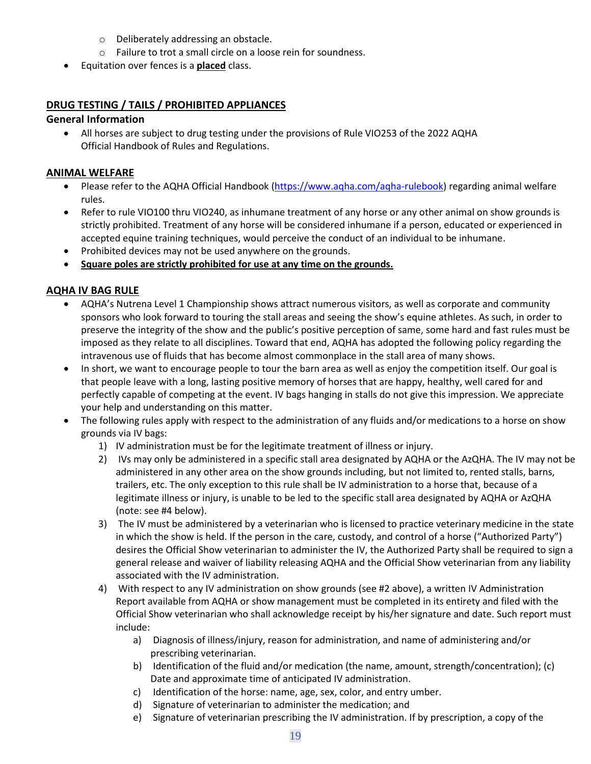- o Deliberately addressing an obstacle.
- o Failure to trot a small circle on a loose rein for soundness.
- Equitation over fences is a **placed** class.

#### <span id="page-18-0"></span>**DRUG TESTING / TAILS / PROHIBITED APPLIANCES**

#### <span id="page-18-1"></span>**General Information**

• All horses are subject to drug testing under the provisions of Rule VIO253 of the 2022 AQHA Official Handbook of Rules and Regulations.

#### <span id="page-18-2"></span>**ANIMAL WELFARE**

- Please refer to the AQHA Official Handbook [\(https://www.aqha.com/aqha-rulebook\)](https://www.aqha.com/aqha-rulebook) regarding animal welfare rules.
- Refer to rule VIO100 thru VIO240, as inhumane treatment of any horse or any other animal on show grounds is strictly prohibited. Treatment of any horse will be considered inhumane if a person, educated or experienced in accepted equine training techniques, would perceive the conduct of an individual to be inhumane.
- Prohibited devices may not be used anywhere on the grounds.
- **Square poles are strictly prohibited for use at any time on the grounds.**

#### <span id="page-18-3"></span>**AQHA IV BAG RULE**

- AQHA's Nutrena Level 1 Championship shows attract numerous visitors, as well as corporate and community sponsors who look forward to touring the stall areas and seeing the show's equine athletes. As such, in order to preserve the integrity of the show and the public's positive perception of same, some hard and fast rules must be imposed as they relate to all disciplines. Toward that end, AQHA has adopted the following policy regarding the intravenous use of fluids that has become almost commonplace in the stall area of many shows.
- In short, we want to encourage people to tour the barn area as well as enjoy the competition itself. Our goal is that people leave with a long, lasting positive memory of horses that are happy, healthy, well cared for and perfectly capable of competing at the event. IV bags hanging in stalls do not give this impression. We appreciate your help and understanding on this matter.
- The following rules apply with respect to the administration of any fluids and/or medications to a horse on show grounds via IV bags:
	- 1) IV administration must be for the legitimate treatment of illness or injury.
	- 2) IVs may only be administered in a specific stall area designated by AQHA or the AzQHA. The IV may not be administered in any other area on the show grounds including, but not limited to, rented stalls, barns, trailers, etc. The only exception to this rule shall be IV administration to a horse that, because of a legitimate illness or injury, is unable to be led to the specific stall area designated by AQHA or AzQHA (note: see #4 below).
	- 3) The IV must be administered by a veterinarian who is licensed to practice veterinary medicine in the state in which the show is held. If the person in the care, custody, and control of a horse ("Authorized Party") desires the Official Show veterinarian to administer the IV, the Authorized Party shall be required to sign a general release and waiver of liability releasing AQHA and the Official Show veterinarian from any liability associated with the IV administration.
	- 4) With respect to any IV administration on show grounds (see #2 above), a written IV Administration Report available from AQHA or show management must be completed in its entirety and filed with the Official Show veterinarian who shall acknowledge receipt by his/her signature and date. Such report must include:
		- a) Diagnosis of illness/injury, reason for administration, and name of administering and/or prescribing veterinarian.
		- b) Identification of the fluid and/or medication (the name, amount, strength/concentration); (c) Date and approximate time of anticipated IV administration.
		- c) Identification of the horse: name, age, sex, color, and entry umber.
		- d) Signature of veterinarian to administer the medication; and
		- e) Signature of veterinarian prescribing the IV administration. If by prescription, a copy of the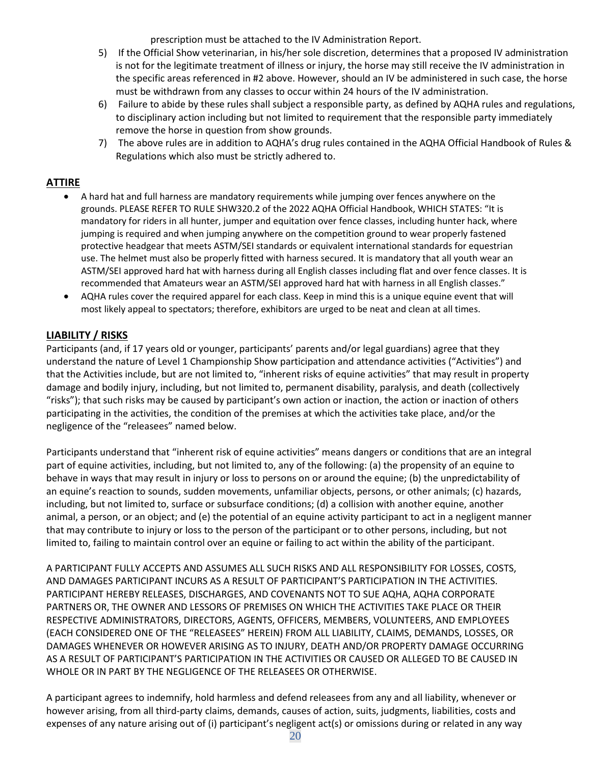prescription must be attached to the IV Administration Report.

- 5) If the Official Show veterinarian, in his/her sole discretion, determines that a proposed IV administration is not for the legitimate treatment of illness or injury, the horse may still receive the IV administration in the specific areas referenced in #2 above. However, should an IV be administered in such case, the horse must be withdrawn from any classes to occur within 24 hours of the IV administration.
- 6) Failure to abide by these rules shall subject a responsible party, as defined by AQHA rules and regulations, to disciplinary action including but not limited to requirement that the responsible party immediately remove the horse in question from show grounds.
- 7) The above rules are in addition to AQHA's drug rules contained in the AQHA Official Handbook of Rules & Regulations which also must be strictly adhered to.

#### <span id="page-19-0"></span>**ATTIRE**

- A hard hat and full harness are mandatory requirements while jumping over fences anywhere on the grounds. PLEASE REFER TO RULE SHW320.2 of the 2022 AQHA Official Handbook, WHICH STATES: "It is mandatory for riders in all hunter, jumper and equitation over fence classes, including hunter hack, where jumping is required and when jumping anywhere on the competition ground to wear properly fastened protective headgear that meets ASTM/SEI standards or equivalent international standards for equestrian use. The helmet must also be properly fitted with harness secured. It is mandatory that all youth wear an ASTM/SEI approved hard hat with harness during all English classes including flat and over fence classes. It is recommended that Amateurs wear an ASTM/SEI approved hard hat with harness in all English classes."
- AQHA rules cover the required apparel for each class. Keep in mind this is a unique equine event that will most likely appeal to spectators; therefore, exhibitors are urged to be neat and clean at all times.

#### <span id="page-19-1"></span>**LIABILITY / RISKS**

Participants (and, if 17 years old or younger, participants' parents and/or legal guardians) agree that they understand the nature of Level 1 Championship Show participation and attendance activities ("Activities") and that the Activities include, but are not limited to, "inherent risks of equine activities" that may result in property damage and bodily injury, including, but not limited to, permanent disability, paralysis, and death (collectively "risks"); that such risks may be caused by participant's own action or inaction, the action or inaction of others participating in the activities, the condition of the premises at which the activities take place, and/or the negligence of the "releasees" named below.

Participants understand that "inherent risk of equine activities" means dangers or conditions that are an integral part of equine activities, including, but not limited to, any of the following: (a) the propensity of an equine to behave in ways that may result in injury or loss to persons on or around the equine; (b) the unpredictability of an equine's reaction to sounds, sudden movements, unfamiliar objects, persons, or other animals; (c) hazards, including, but not limited to, surface or subsurface conditions; (d) a collision with another equine, another animal, a person, or an object; and (e) the potential of an equine activity participant to act in a negligent manner that may contribute to injury or loss to the person of the participant or to other persons, including, but not limited to, failing to maintain control over an equine or failing to act within the ability of the participant.

A PARTICIPANT FULLY ACCEPTS AND ASSUMES ALL SUCH RISKS AND ALL RESPONSIBILITY FOR LOSSES, COSTS, AND DAMAGES PARTICIPANT INCURS AS A RESULT OF PARTICIPANT'S PARTICIPATION IN THE ACTIVITIES. PARTICIPANT HEREBY RELEASES, DISCHARGES, AND COVENANTS NOT TO SUE AQHA, AQHA CORPORATE PARTNERS OR, THE OWNER AND LESSORS OF PREMISES ON WHICH THE ACTIVITIES TAKE PLACE OR THEIR RESPECTIVE ADMINISTRATORS, DIRECTORS, AGENTS, OFFICERS, MEMBERS, VOLUNTEERS, AND EMPLOYEES (EACH CONSIDERED ONE OF THE "RELEASEES" HEREIN) FROM ALL LIABILITY, CLAIMS, DEMANDS, LOSSES, OR DAMAGES WHENEVER OR HOWEVER ARISING AS TO INJURY, DEATH AND/OR PROPERTY DAMAGE OCCURRING AS A RESULT OF PARTICIPANT'S PARTICIPATION IN THE ACTIVITIES OR CAUSED OR ALLEGED TO BE CAUSED IN WHOLE OR IN PART BY THE NEGLIGENCE OF THE RELEASEES OR OTHERWISE.

A participant agrees to indemnify, hold harmless and defend releasees from any and all liability, whenever or however arising, from all third-party claims, demands, causes of action, suits, judgments, liabilities, costs and expenses of any nature arising out of (i) participant's negligent act(s) or omissions during or related in any way